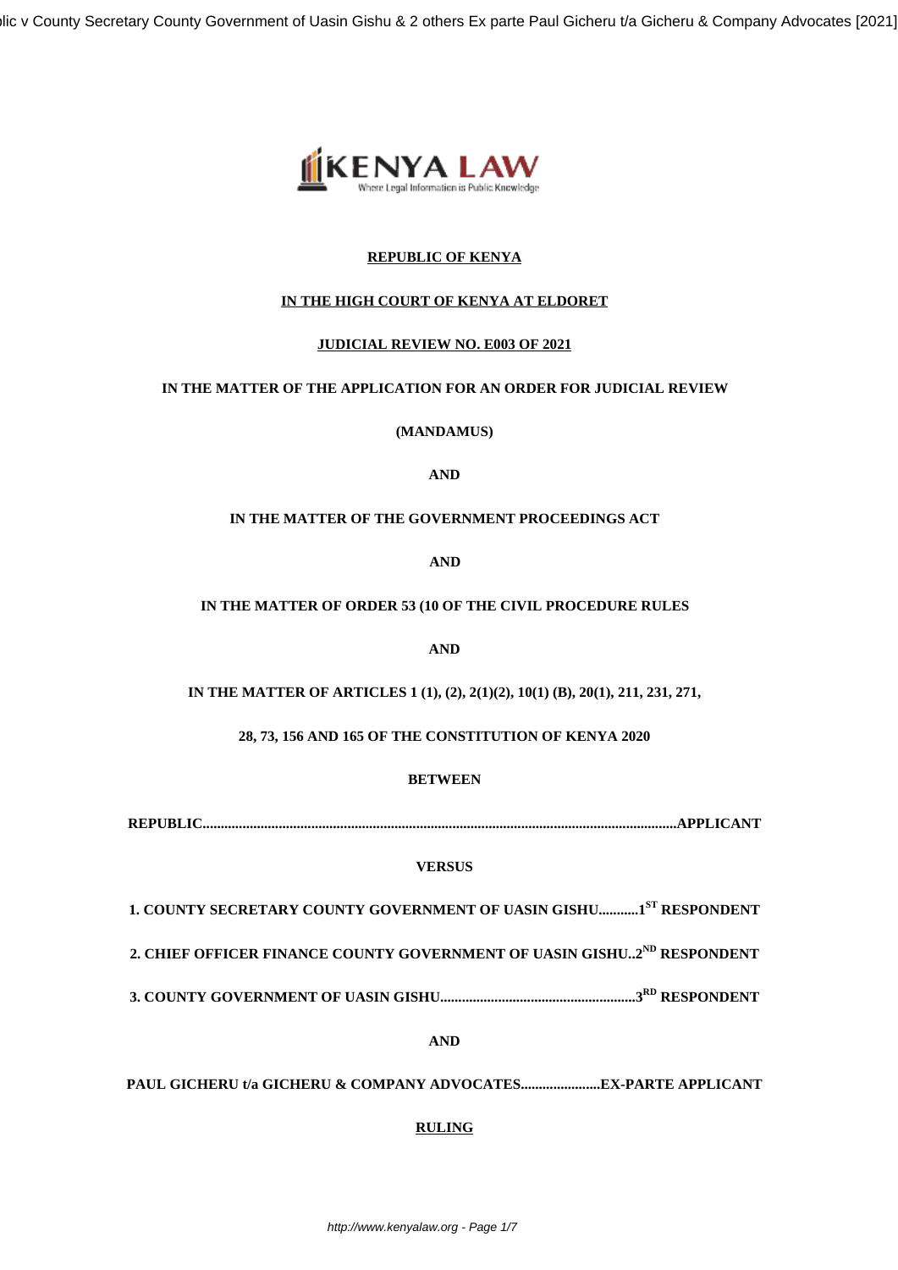llic v County Secretary County Government of Uasin Gishu & 2 others Ex parte Paul Gicheru t/a Gicheru & Company Advocates [2021]



# **REPUBLIC OF KENYA**

# **IN THE HIGH COURT OF KENYA AT ELDORET**

# **JUDICIAL REVIEW NO. E003 OF 2021**

## **IN THE MATTER OF THE APPLICATION FOR AN ORDER FOR JUDICIAL REVIEW**

**(MANDAMUS)**

## **AND**

# **IN THE MATTER OF THE GOVERNMENT PROCEEDINGS ACT**

**AND**

## **IN THE MATTER OF ORDER 53 (10 OF THE CIVIL PROCEDURE RULES**

**AND**

**IN THE MATTER OF ARTICLES 1 (1), (2), 2(1)(2), 10(1) (B), 20(1), 211, 231, 271,**

**28, 73, 156 AND 165 OF THE CONSTITUTION OF KENYA 2020**

# **BETWEEN**

**REPUBLIC...................................................................................................................................APPLICANT**

# **VERSUS**

**1. COUNTY SECRETARY COUNTY GOVERNMENT OF UASIN GISHU...........1ST RESPONDENT**

**2. CHIEF OFFICER FINANCE COUNTY GOVERNMENT OF UASIN GISHU..2ND RESPONDENT**

**3. COUNTY GOVERNMENT OF UASIN GISHU......................................................3RD RESPONDENT**

**AND**

**PAUL GICHERU t/a GICHERU & COMPANY ADVOCATES......................EX-PARTE APPLICANT**

# **RULING**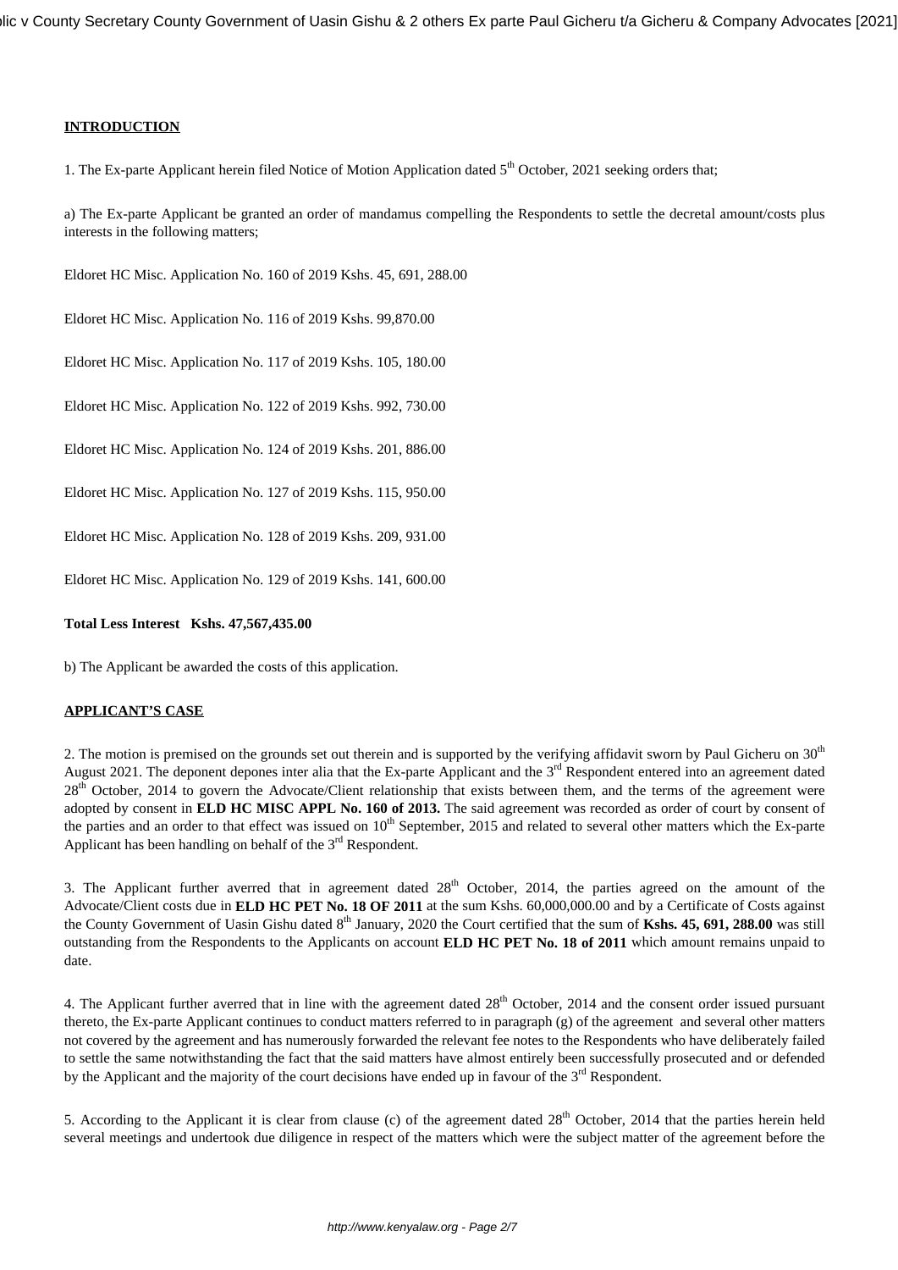## **INTRODUCTION**

1. The Ex-parte Applicant herein filed Notice of Motion Application dated 5<sup>th</sup> October, 2021 seeking orders that;

a) The Ex-parte Applicant be granted an order of mandamus compelling the Respondents to settle the decretal amount/costs plus interests in the following matters;

Eldoret HC Misc. Application No. 160 of 2019 Kshs. 45, 691, 288.00

Eldoret HC Misc. Application No. 116 of 2019 Kshs. 99,870.00

Eldoret HC Misc. Application No. 117 of 2019 Kshs. 105, 180.00

Eldoret HC Misc. Application No. 122 of 2019 Kshs. 992, 730.00

Eldoret HC Misc. Application No. 124 of 2019 Kshs. 201, 886.00

Eldoret HC Misc. Application No. 127 of 2019 Kshs. 115, 950.00

Eldoret HC Misc. Application No. 128 of 2019 Kshs. 209, 931.00

Eldoret HC Misc. Application No. 129 of 2019 Kshs. 141, 600.00

#### **Total Less Interest Kshs. 47,567,435.00**

b) The Applicant be awarded the costs of this application.

#### **APPLICANT'S CASE**

2. The motion is premised on the grounds set out therein and is supported by the verifying affidavit sworn by Paul Gicheru on  $30<sup>th</sup>$ August 2021. The deponent depones inter alia that the Ex-parte Applicant and the  $3<sup>rd</sup>$  Respondent entered into an agreement dated 28<sup>th</sup> October, 2014 to govern the Advocate/Client relationship that exists between them, and the terms of the agreement were adopted by consent in **ELD HC MISC APPL No. 160 of 2013.** The said agreement was recorded as order of court by consent of the parties and an order to that effect was issued on 10<sup>th</sup> September, 2015 and related to several other matters which the Ex-parte Applicant has been handling on behalf of the  $3<sup>rd</sup>$  Respondent.

3. The Applicant further averred that in agreement dated  $28<sup>th</sup>$  October, 2014, the parties agreed on the amount of the Advocate/Client costs due in **ELD HC PET No. 18 OF 2011** at the sum Kshs. 60,000,000.00 and by a Certificate of Costs against the County Government of Uasin Gishu dated 8<sup>th</sup> January, 2020 the Court certified that the sum of Kshs. 45, 691, 288.00 was still outstanding from the Respondents to the Applicants on account **ELD HC PET No. 18 of 2011** which amount remains unpaid to date.

4. The Applicant further averred that in line with the agreement dated 28<sup>th</sup> October, 2014 and the consent order issued pursuant thereto, the Ex-parte Applicant continues to conduct matters referred to in paragraph (g) of the agreement and several other matters not covered by the agreement and has numerously forwarded the relevant fee notes to the Respondents who have deliberately failed to settle the same notwithstanding the fact that the said matters have almost entirely been successfully prosecuted and or defended by the Applicant and the majority of the court decisions have ended up in favour of the  $3<sup>rd</sup>$  Respondent.

5. According to the Applicant it is clear from clause (c) of the agreement dated  $28<sup>th</sup>$  October, 2014 that the parties herein held several meetings and undertook due diligence in respect of the matters which were the subject matter of the agreement before the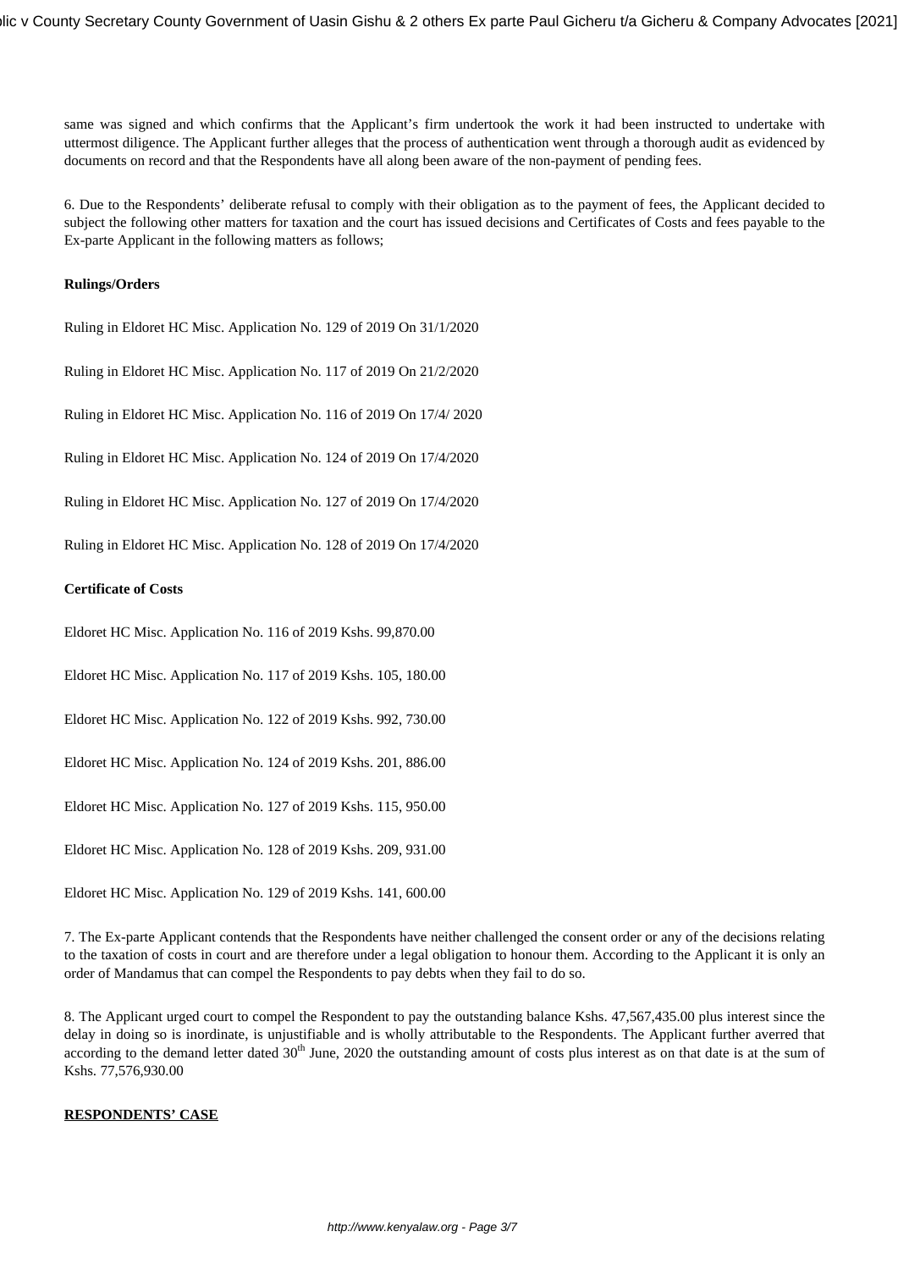same was signed and which confirms that the Applicant's firm undertook the work it had been instructed to undertake with uttermost diligence. The Applicant further alleges that the process of authentication went through a thorough audit as evidenced by documents on record and that the Respondents have all along been aware of the non-payment of pending fees.

6. Due to the Respondents' deliberate refusal to comply with their obligation as to the payment of fees, the Applicant decided to subject the following other matters for taxation and the court has issued decisions and Certificates of Costs and fees payable to the Ex-parte Applicant in the following matters as follows;

#### **Rulings/Orders**

Ruling in Eldoret HC Misc. Application No. 129 of 2019 On 31/1/2020

Ruling in Eldoret HC Misc. Application No. 117 of 2019 On 21/2/2020

Ruling in Eldoret HC Misc. Application No. 116 of 2019 On 17/4/ 2020

Ruling in Eldoret HC Misc. Application No. 124 of 2019 On 17/4/2020

Ruling in Eldoret HC Misc. Application No. 127 of 2019 On 17/4/2020

Ruling in Eldoret HC Misc. Application No. 128 of 2019 On 17/4/2020

## **Certificate of Costs**

Eldoret HC Misc. Application No. 116 of 2019 Kshs. 99,870.00

Eldoret HC Misc. Application No. 117 of 2019 Kshs. 105, 180.00

Eldoret HC Misc. Application No. 122 of 2019 Kshs. 992, 730.00

Eldoret HC Misc. Application No. 124 of 2019 Kshs. 201, 886.00

Eldoret HC Misc. Application No. 127 of 2019 Kshs. 115, 950.00

Eldoret HC Misc. Application No. 128 of 2019 Kshs. 209, 931.00

Eldoret HC Misc. Application No. 129 of 2019 Kshs. 141, 600.00

7. The Ex-parte Applicant contends that the Respondents have neither challenged the consent order or any of the decisions relating to the taxation of costs in court and are therefore under a legal obligation to honour them. According to the Applicant it is only an order of Mandamus that can compel the Respondents to pay debts when they fail to do so.

8. The Applicant urged court to compel the Respondent to pay the outstanding balance Kshs. 47,567,435.00 plus interest since the delay in doing so is inordinate, is unjustifiable and is wholly attributable to the Respondents. The Applicant further averred that according to the demand letter dated  $30<sup>th</sup>$  June, 2020 the outstanding amount of costs plus interest as on that date is at the sum of Kshs. 77,576,930.00

#### **RESPONDENTS' CASE**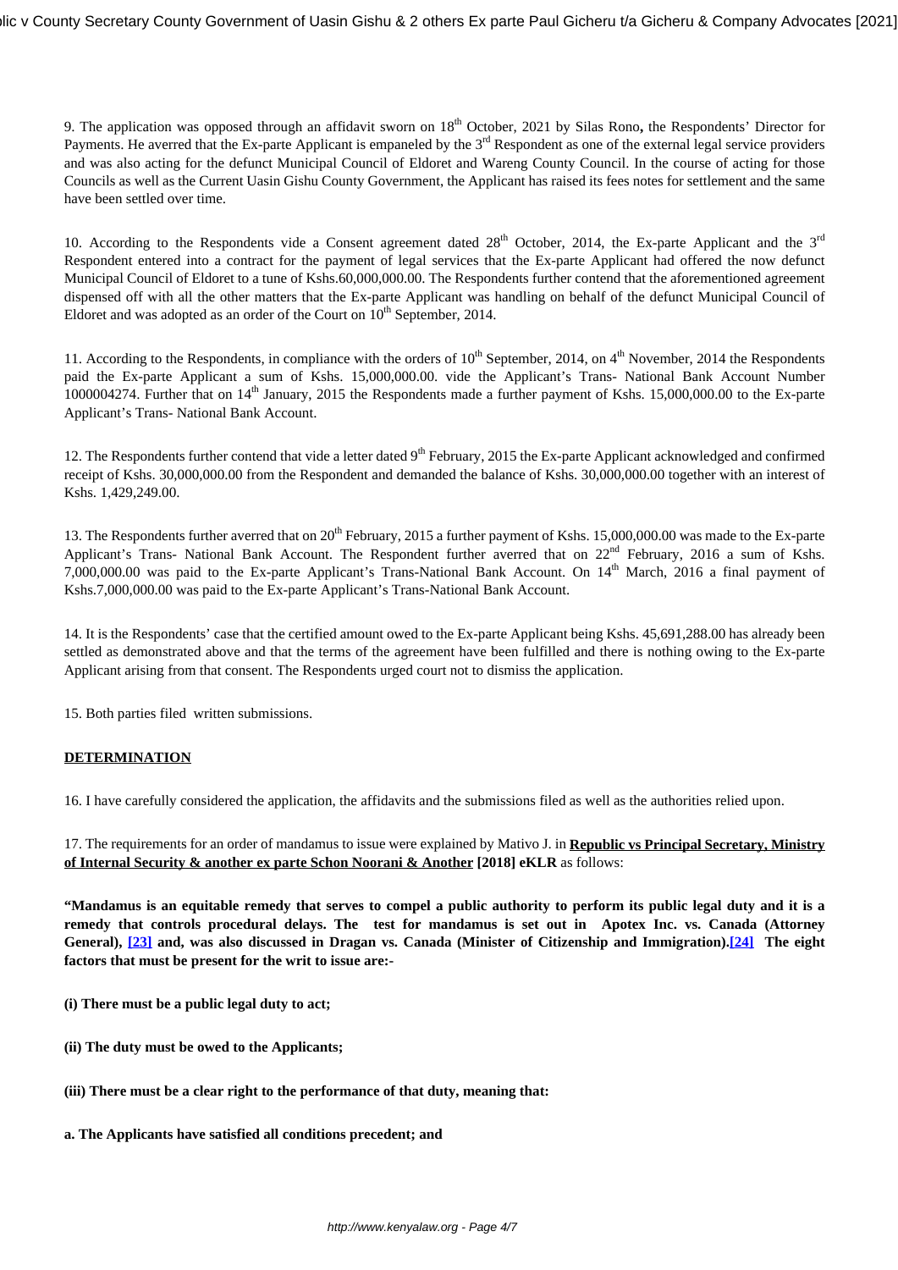9. The application was opposed through an affidavit sworn on 18<sup>th</sup> October, 2021 by Silas Rono, the Respondents' Director for Payments. He averred that the Ex-parte Applicant is empaneled by the 3<sup>rd</sup> Respondent as one of the external legal service providers and was also acting for the defunct Municipal Council of Eldoret and Wareng County Council. In the course of acting for those Councils as well as the Current Uasin Gishu County Government, the Applicant has raised its fees notes for settlement and the same have been settled over time.

10. According to the Respondents vide a Consent agreement dated  $28<sup>th</sup>$  October, 2014, the Ex-parte Applicant and the  $3<sup>rd</sup>$ Respondent entered into a contract for the payment of legal services that the Ex-parte Applicant had offered the now defunct Municipal Council of Eldoret to a tune of Kshs.60,000,000.00. The Respondents further contend that the aforementioned agreement dispensed off with all the other matters that the Ex-parte Applicant was handling on behalf of the defunct Municipal Council of Eldoret and was adopted as an order of the Court on  $10^{th}$  September, 2014.

11. According to the Respondents, in compliance with the orders of  $10^{th}$  September, 2014, on  $4^{th}$  November, 2014 the Respondents paid the Ex-parte Applicant a sum of Kshs. 15,000,000.00. vide the Applicant's Trans- National Bank Account Number 1000004274. Further that on  $14<sup>th</sup>$  January, 2015 the Respondents made a further payment of Kshs. 15,000,000.00 to the Ex-parte Applicant's Trans- National Bank Account.

12. The Respondents further contend that vide a letter dated  $9<sup>th</sup>$  February, 2015 the Ex-parte Applicant acknowledged and confirmed receipt of Kshs. 30,000,000.00 from the Respondent and demanded the balance of Kshs. 30,000,000.00 together with an interest of Kshs. 1,429,249.00.

13. The Respondents further averred that on 20<sup>th</sup> February, 2015 a further payment of Kshs. 15,000,000.00 was made to the Ex-parte Applicant's Trans- National Bank Account. The Respondent further averred that on 22<sup>nd</sup> February, 2016 a sum of Kshs. 7,000,000.00 was paid to the Ex-parte Applicant's Trans-National Bank Account. On 14<sup>th</sup> March, 2016 a final payment of Kshs.7,000,000.00 was paid to the Ex-parte Applicant's Trans-National Bank Account.

14. It is the Respondents' case that the certified amount owed to the Ex-parte Applicant being Kshs. 45,691,288.00 has already been settled as demonstrated above and that the terms of the agreement have been fulfilled and there is nothing owing to the Ex-parte Applicant arising from that consent. The Respondents urged court not to dismiss the application.

15. Both parties filed written submissions.

# **DETERMINATION**

16. I have carefully considered the application, the affidavits and the submissions filed as well as the authorities relied upon.

17. The requirements for an order of mandamus to issue were explained by Mativo J. in **Republic vs Principal Secretary, Ministry of Internal Security & another ex parte Schon Noorani & Another [2018] eKLR** as follows:

**"Mandamus is an equitable remedy that serves to compel a public authority to perform its public legal duty and it is a remedy that controls procedural delays. The test for mandamus is set out in Apotex Inc. vs. Canada (Attorney General), [\[23\]](http://kenyalaw.org/caselaw/cases/view/158420/#_ftn23) and, was also discussed in Dragan vs. Canada (Minister of Citizenship and Immigration).[\[24\]](http://kenyalaw.org/caselaw/cases/view/158420/#_ftn24) The eight factors that must be present for the writ to issue are:-**

- **(i) There must be a public legal duty to act;**
- **(ii) The duty must be owed to the Applicants;**
- **(iii) There must be a clear right to the performance of that duty, meaning that:**
- **a. The Applicants have satisfied all conditions precedent; and**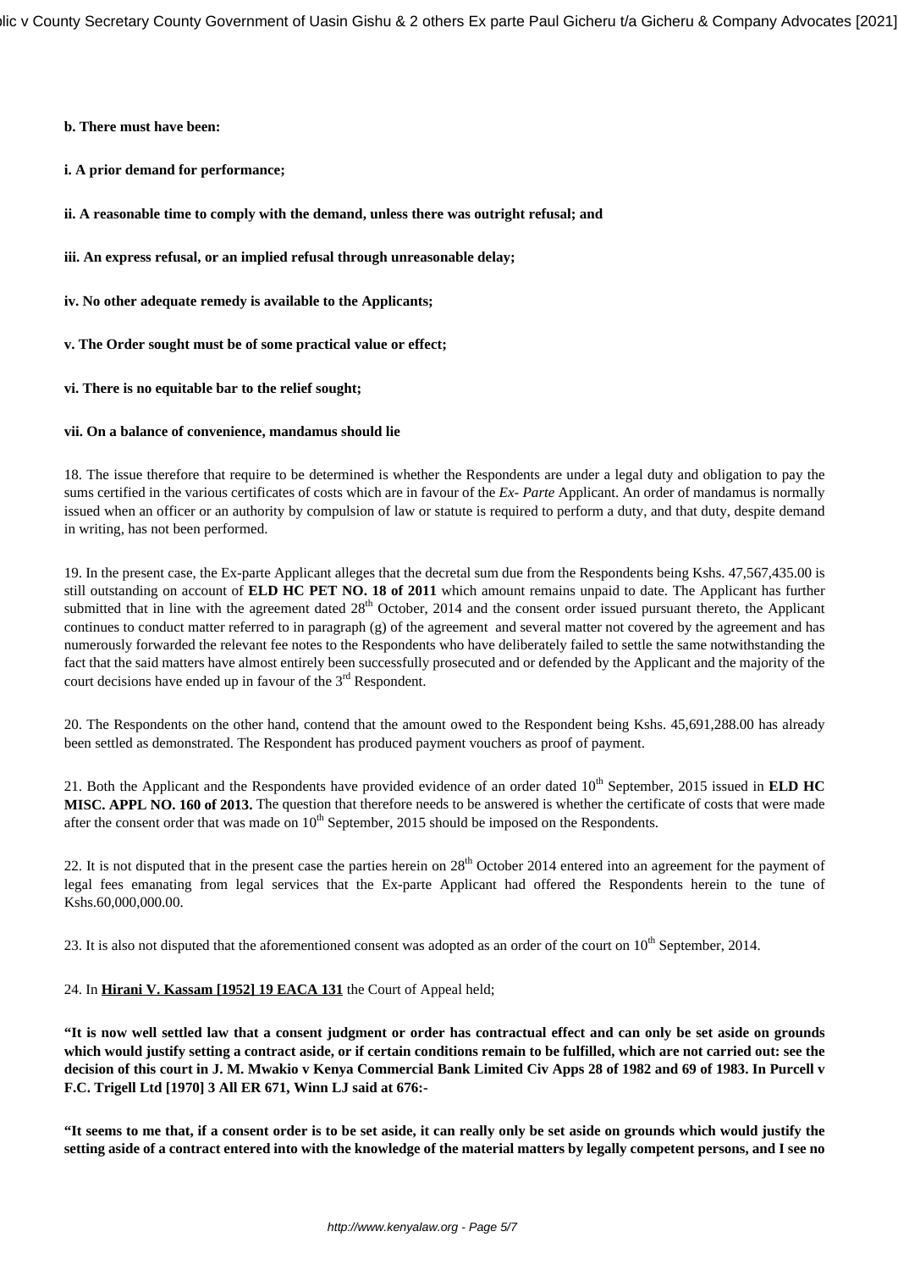**b. There must have been:**

**i. A prior demand for performance;**

**ii. A reasonable time to comply with the demand, unless there was outright refusal; and**

**iii. An express refusal, or an implied refusal through unreasonable delay;**

**iv. No other adequate remedy is available to the Applicants;**

**v. The Order sought must be of some practical value or effect;**

## **vi. There is no equitable bar to the relief sought;**

#### **vii. On a balance of convenience, mandamus should lie**

18. The issue therefore that require to be determined is whether the Respondents are under a legal duty and obligation to pay the sums certified in the various certificates of costs which are in favour of the *Ex- Parte* Applicant. An order of mandamus is normally issued when an officer or an authority by compulsion of law or statute is required to perform a duty, and that duty, despite demand in writing, has not been performed.

19. In the present case, the Ex-parte Applicant alleges that the decretal sum due from the Respondents being Kshs. 47,567,435.00 is still outstanding on account of **ELD HC PET NO. 18 of 2011** which amount remains unpaid to date. The Applicant has further submitted that in line with the agreement dated 28<sup>th</sup> October, 2014 and the consent order issued pursuant thereto, the Applicant continues to conduct matter referred to in paragraph (g) of the agreement and several matter not covered by the agreement and has numerously forwarded the relevant fee notes to the Respondents who have deliberately failed to settle the same notwithstanding the fact that the said matters have almost entirely been successfully prosecuted and or defended by the Applicant and the majority of the court decisions have ended up in favour of the  $3<sup>rd</sup>$  Respondent.

20. The Respondents on the other hand, contend that the amount owed to the Respondent being Kshs. 45,691,288.00 has already been settled as demonstrated. The Respondent has produced payment vouchers as proof of payment.

21. Both the Applicant and the Respondents have provided evidence of an order dated 10<sup>th</sup> September, 2015 issued in **ELD HC MISC. APPL NO. 160 of 2013.** The question that therefore needs to be answered is whether the certificate of costs that were made after the consent order that was made on  $10<sup>th</sup>$  September, 2015 should be imposed on the Respondents.

22. It is not disputed that in the present case the parties herein on  $28<sup>th</sup>$  October 2014 entered into an agreement for the payment of legal fees emanating from legal services that the Ex-parte Applicant had offered the Respondents herein to the tune of Kshs.60,000,000.00.

23. It is also not disputed that the aforementioned consent was adopted as an order of the court on  $10^{th}$  September, 2014.

#### 24. In **Hirani V. Kassam [1952] 19 EACA 131** the Court of Appeal held;

**"It is now well settled law that a consent judgment or order has contractual effect and can only be set aside on grounds which would justify setting a contract aside, or if certain conditions remain to be fulfilled, which are not carried out: see the decision of this court in J. M. Mwakio v Kenya Commercial Bank Limited Civ Apps 28 of 1982 and 69 of 1983. In Purcell v F.C. Trigell Ltd [1970] 3 All ER 671, Winn LJ said at 676:-**

**"It seems to me that, if a consent order is to be set aside, it can really only be set aside on grounds which would justify the setting aside of a contract entered into with the knowledge of the material matters by legally competent persons, and I see no**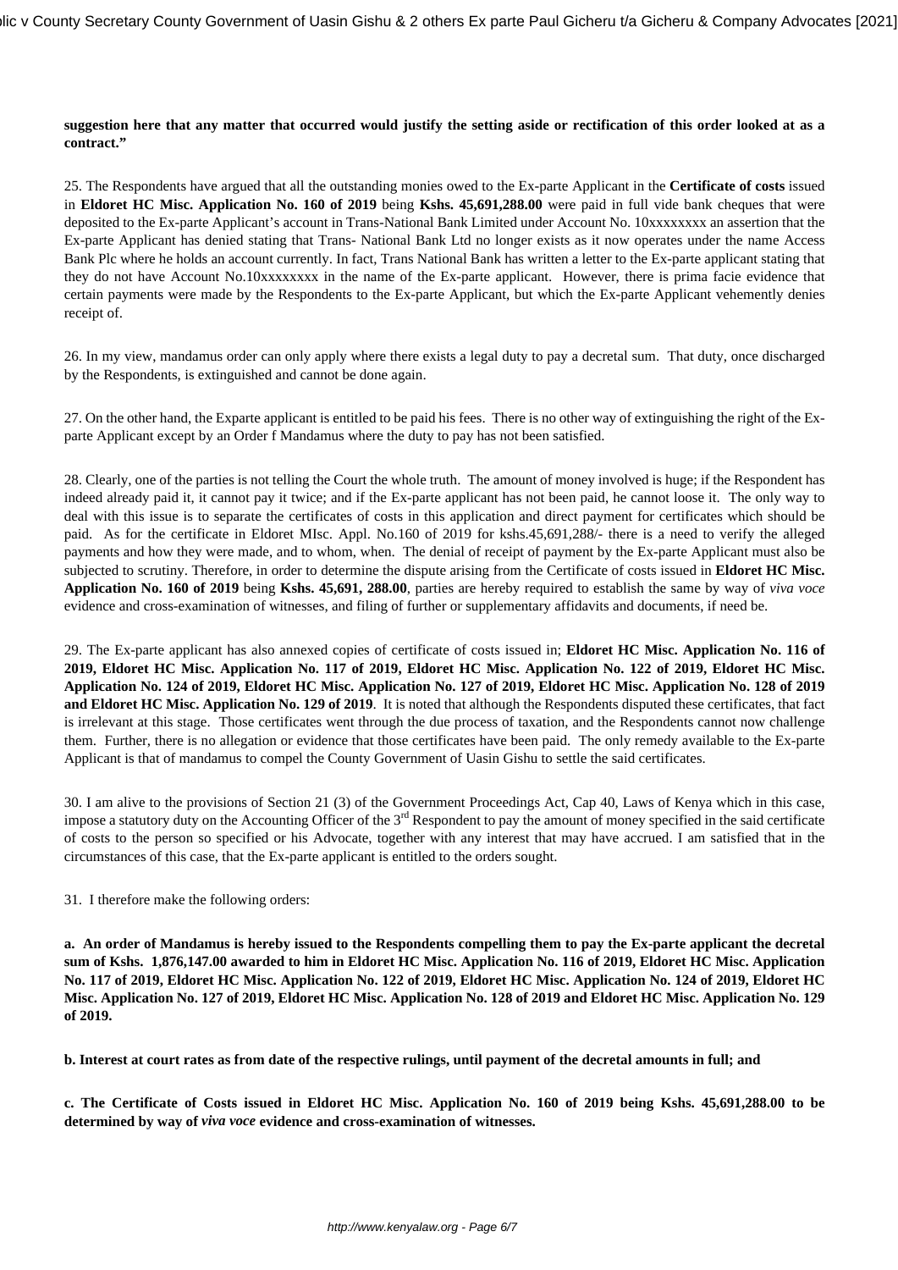#### **suggestion here that any matter that occurred would justify the setting aside or rectification of this order looked at as a contract."**

25. The Respondents have argued that all the outstanding monies owed to the Ex-parte Applicant in the **Certificate of costs** issued in **Eldoret HC Misc. Application No. 160 of 2019** being **Kshs. 45,691,288.00** were paid in full vide bank cheques that were deposited to the Ex-parte Applicant's account in Trans-National Bank Limited under Account No. 10xxxxxxxx an assertion that the Ex-parte Applicant has denied stating that Trans- National Bank Ltd no longer exists as it now operates under the name Access Bank Plc where he holds an account currently. In fact, Trans National Bank has written a letter to the Ex-parte applicant stating that they do not have Account No.10xxxxxxxx in the name of the Ex-parte applicant. However, there is prima facie evidence that certain payments were made by the Respondents to the Ex-parte Applicant, but which the Ex-parte Applicant vehemently denies receipt of.

26. In my view, mandamus order can only apply where there exists a legal duty to pay a decretal sum. That duty, once discharged by the Respondents, is extinguished and cannot be done again.

27. On the other hand, the Exparte applicant is entitled to be paid his fees. There is no other way of extinguishing the right of the Exparte Applicant except by an Order f Mandamus where the duty to pay has not been satisfied.

28. Clearly, one of the parties is not telling the Court the whole truth. The amount of money involved is huge; if the Respondent has indeed already paid it, it cannot pay it twice; and if the Ex-parte applicant has not been paid, he cannot loose it. The only way to deal with this issue is to separate the certificates of costs in this application and direct payment for certificates which should be paid. As for the certificate in Eldoret MIsc. Appl. No.160 of 2019 for kshs.45,691,288/- there is a need to verify the alleged payments and how they were made, and to whom, when. The denial of receipt of payment by the Ex-parte Applicant must also be subjected to scrutiny. Therefore, in order to determine the dispute arising from the Certificate of costs issued in **Eldoret HC Misc. Application No. 160 of 2019** being **Kshs. 45,691, 288.00**, parties are hereby required to establish the same by way of *viva voce* evidence and cross-examination of witnesses, and filing of further or supplementary affidavits and documents, if need be.

29. The Ex-parte applicant has also annexed copies of certificate of costs issued in; **Eldoret HC Misc. Application No. 116 of 2019, Eldoret HC Misc. Application No. 117 of 2019, Eldoret HC Misc. Application No. 122 of 2019, Eldoret HC Misc. Application No. 124 of 2019, Eldoret HC Misc. Application No. 127 of 2019, Eldoret HC Misc. Application No. 128 of 2019 and Eldoret HC Misc. Application No. 129 of 2019**. It is noted that although the Respondents disputed these certificates, that fact is irrelevant at this stage. Those certificates went through the due process of taxation, and the Respondents cannot now challenge them. Further, there is no allegation or evidence that those certificates have been paid. The only remedy available to the Ex-parte Applicant is that of mandamus to compel the County Government of Uasin Gishu to settle the said certificates.

30. I am alive to the provisions of Section 21 (3) of the Government Proceedings Act, Cap 40, Laws of Kenya which in this case, impose a statutory duty on the Accounting Officer of the  $3<sup>rd</sup>$  Respondent to pay the amount of money specified in the said certificate of costs to the person so specified or his Advocate, together with any interest that may have accrued. I am satisfied that in the circumstances of this case, that the Ex-parte applicant is entitled to the orders sought.

31. I therefore make the following orders:

**a. An order of Mandamus is hereby issued to the Respondents compelling them to pay the Ex-parte applicant the decretal sum of Kshs. 1,876,147.00 awarded to him in Eldoret HC Misc. Application No. 116 of 2019, Eldoret HC Misc. Application No. 117 of 2019, Eldoret HC Misc. Application No. 122 of 2019, Eldoret HC Misc. Application No. 124 of 2019, Eldoret HC Misc. Application No. 127 of 2019, Eldoret HC Misc. Application No. 128 of 2019 and Eldoret HC Misc. Application No. 129 of 2019.**

**b. Interest at court rates as from date of the respective rulings, until payment of the decretal amounts in full; and**

**c. The Certificate of Costs issued in Eldoret HC Misc. Application No. 160 of 2019 being Kshs. 45,691,288.00 to be determined by way of** *viva voce* **evidence and cross-examination of witnesses.**